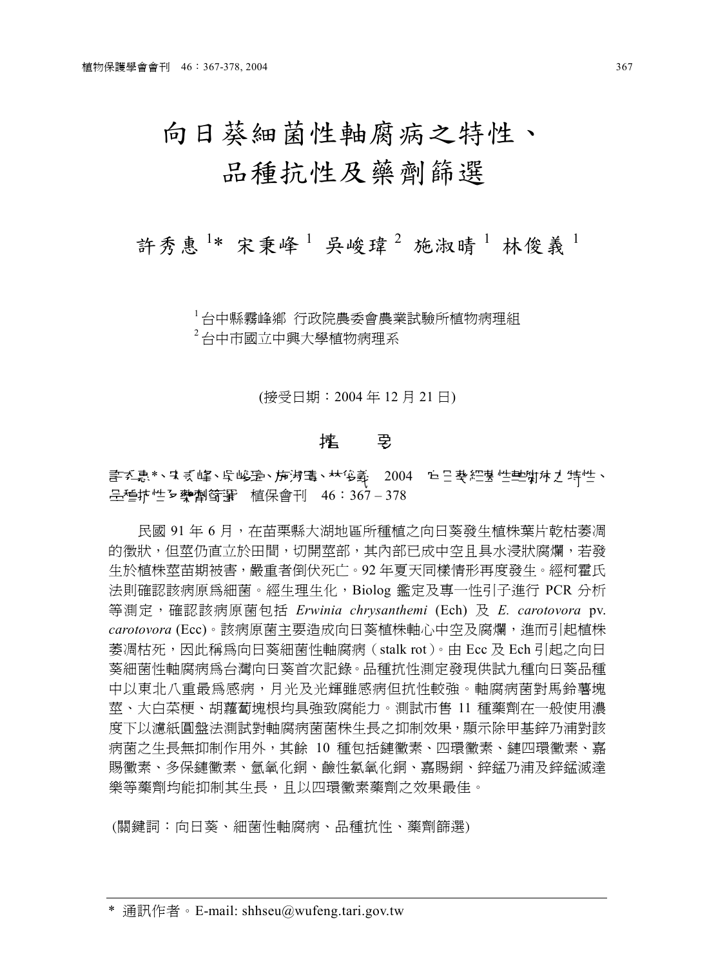# 向日葵細菌性軸腐病之特性、 品種抗性及藥劑篩選

## 許秀惠<sup>1\*</sup>宋秉峰<sup>1</sup> 吳峻瑋<sup>2</sup>施淑晴<sup>1</sup>林俊義<sup>1</sup>

 $^{-1}$ 台中縣霧峰鄉 行政院農委會農業試驗所植物病理組  $2$ 台中市國立中興大學植物病理系

(接受日期:2004 年 12 月 21 日)

### 篕 璶

## <u>書で</u>惠\*、•����、皇子・帝淑晴、林侈義 2004 庐日葵細菌性軸腐症が特性、 **品種抗性 及 摰 劑 篩 審 種 保 會 刊 46:367 – 378**

民國 91年6月, 在苗栗縣大湖地區所種植之向日葵發生植株葉片乾枯萎凋 的徵狀,但莖仍直立於田間,切開莖部,其內部已成中空且具水浸狀腐爛,若發 生於植株莖苗期被害,嚴重者倒伏死亡。92年夏天同樣情形再度發生。經柯霍氏 法則確認該病原為細菌。經生理生化,Biolog 鑑定及專㆒性引子進行 PCR 分析 等測定,確認該病原菌包括 *Erwinia chrysanthemi* (Ech) 及 *E. carotovora* pv. *carotovora* (Ecc)。該病原菌主要造成向日葵植株軸心㆗空及腐爛,進而引起植株 萎凋枯死,因此稱為向日葵細菌性軸腐病(stalk rot)。由 Ecc 及 Ech 引起之向日 葵細菌性軸腐病為台灣向日葵首次記錄。品種抗性測定發現供試九種向日葵品種 中以東北八重最為感病,月光及光輝雖感病但抗性較強。軸腐病菌對馬鈴薯塊 萃、大白菜梗、胡蘿蔔塊根均具強致腐能力。測試市售 11 種藥劑在一般使用濃 度下以濾紙圓盤法測試對軸腐病菌菌株生長之抑制效果,顯示除甲基鋅乃浦對該 病菌之生長無抑制作用外,其餘 10 種包括鏈黴素、四環黴素、鏈四環黴素、嘉 賜黴素、多保鏈黴素、氫氧化銅、鹼性氯氧化銅、嘉賜銅、鋅錳乃浦及鋅錳滅達 樂等藥劑均能抑制其生長,且以四環黴素藥劑之效果最佳。

(關鍵詞:向日葵、細菌性軸腐病、品種抗性、藥劑篩選)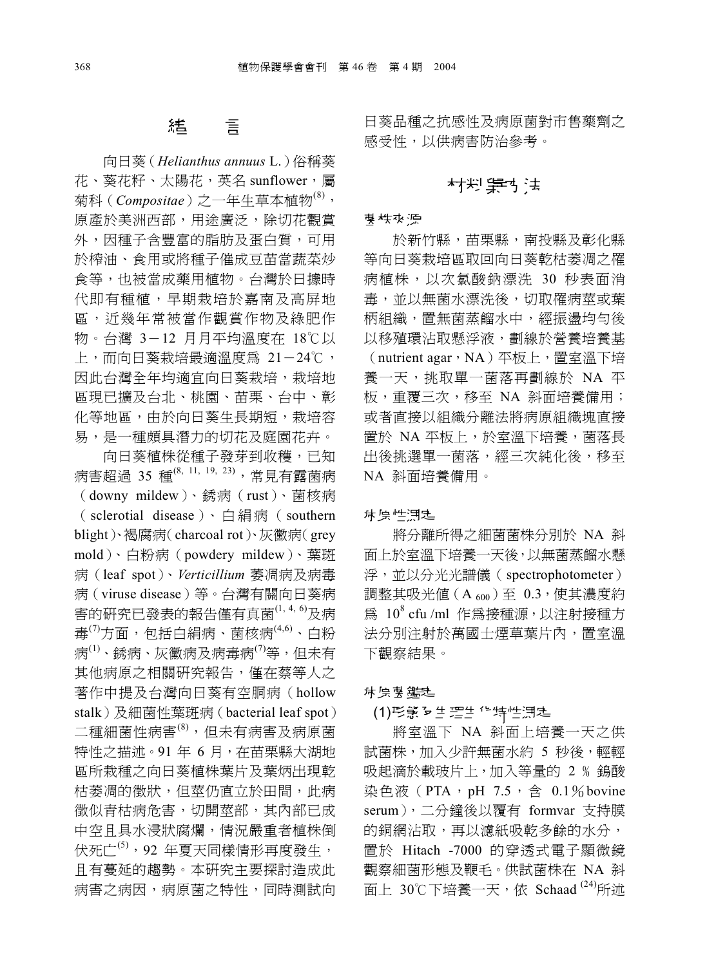#### 言 狐

向日葵(*Helianthus annuus* L.)俗稱葵 花、葵花籽、太陽花,英名 sunflower,屬 菊科(*Compositae*)之一年生草本植物<sup>(8),</sup> 原產於美洲西部,用途廣泛,除切花觀賞 外,因種子含豐富的脂肪及蛋白質,可用 於榨油、食用或將種子催成豆苗當蔬菜炒 食等,也被當成藥用植物。台灣於日據時 代即有種植,早期栽培於嘉南及高屏㆞ 區,近幾年常被當作觀賞作物及綠肥作 物。台灣 3-12 月月平均溫度在 18℃以 上,而向日葵栽培最滴溫度為 21-24℃, 因此台灣全年均適宜向日葵栽培,栽培地 區現已擴及台北、桃園、苗栗、台中、彰 化等地區,由於向日葵生長期短,栽培容 易,是一種頗具潛力的切花及庭園花卉。

向日葵植株從種子發芽到收穫,已知 病害超過 35 種(8, 11, 19, 23),常見有露菌病 (downy mildew)、銹病(rust)、菌核病 ( sclerotial disease)、白 絹 病 ( southern blight)、褐腐病(charcoal rot)、灰黴病(grey mold)、白粉病(powdery mildew)、葉斑 病(leaf spot)、*Verticillium* 萎凋病及病毒 病(viruse disease)等。台灣有關向日葵病 害的研究已發表的報告僅有真菌(1, 4, 6)及病 毒 $^{(7)}$ 方面,包括白絹病、菌核病 $^{(4,6)}$ 、白粉 病<sup>(1)</sup>、銹病、灰黴病及病毒病<sup>(7)</sup>等,但未有 其他病原之相關研究報告,僅在蔡等人之 著作中提及台灣向日葵有空胴病(hollow stalk)及細菌性葉斑病(bacterial leaf spot) 二種細菌性病害<sup>(8),</sup>但未有病害及病原菌 特性之描述。91年6月,在苗栗縣大湖地 區所栽種之向日葵植株葉片及葉炳出現乾 枯萎凋的徵狀,但莖仍直立於田間,此病 徵似青枯病危害,切開莖部,其內部已成 ㆗空且具水浸狀腐爛,情況嚴重者植株倒 伏死亡 $^{(5)}$ , 92 年夏天同樣情形再度發生, 且有蔓延的趨勢。本研究主要探討造成此 病害之病因,病原菌之特性,同時測試向

日葵品種之抗感性及病原菌對市售藥劑之 感受性,以供病害防治參考。

## 材料肆访法

#### 谋株來源

於新竹縣,苗栗縣,南投縣及彰化縣 等向日葵栽培區取回向日葵乾枯萎凋之罹 病植株,以次氯酸鈉漂洗 30 秒表面消 毒,並以無菌水漂洗後,切取罹病莖或葉 柄組織,置無菌蒸餾水㆗,經振盪均勻後 以移殖環沾取懸浮液,劃線於營養培養基 (nutrient agar,NA)平板上,置室溫下培 養㆒㆝,挑取單㆒菌落再劃線於 NA 平 板,重覆㆔次,移至 NA 斜面培養備用; 或者直接以組織分離法將病原組織塊直接 置於 NA 平板上,於室溫下培養,菌落長 出後挑選單㆒菌落,經㆔次純化後,移至 NA 斜面培養備用。

#### **标原性測定**

將分離所得之細菌菌株分別於 NA 斜 面上於室溫下培養一天後,以無菌蒸餾水懸 浮,並以分光光譜儀(spectrophotometer) 調整其吸光値(A 600)至 0.3,使其濃度約 爲 10<sup>8</sup> cfu /ml 作爲接種源,以注射接種方 法分別注射於萬國士煙草葉片內,置室溫 下觀察結果。

#### **旅原菌 鑑定**

#### (1)形態 b 生理生 化特性測定

將室溫下 NA 斜面上培養一天之供 試菌株,加入少許無菌水約 5 秒後,輕輕 吸起滴於載玻片上,加入等量的 2 % 鎢酸 染色液 (PTA, pH 7.5, 含 0.1%bovine serum), 二分鐘後以覆有 formvar 支持膜 的銅網沾取,再以濾紙吸乾多餘的水分, 置於 Hitach -7000 的穿透式電子顯微鏡 觀察細菌形態及鞭毛。供試菌株在 NA 斜 面上 30℃下培養一天, 依 Schaad  $^{(24)}$ 所述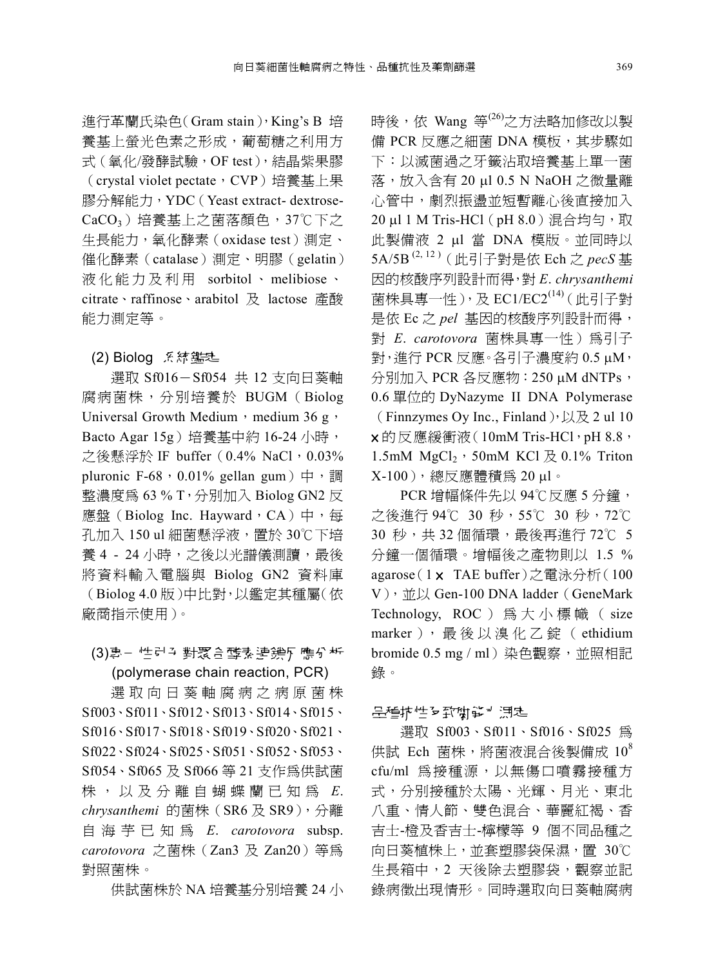進行革蘭氏染色(Gram stain),King's B 培 養基㆖螢光色素之形成,葡萄糖之利用方 式(氧化/發酵試驗,OF test),結晶紫果膠 (crystal violet pectate, CVP)培養基上果 膠分解能力,YDC(Yeast extract- dextrose-CaCO<sub>3</sub>)培養基上之菌落顏色, 37℃下之 生長能力,氧化酵素(oxidase test)測定、 催化酵素(catalase)測定、明膠(gelatin) 液 化能力及 利 用 sorbitol 、 melibiose 、 citrate、raffinose、arabitol 及 lactose 產酸 能力測定等。

#### (2) Biolog 系統鑑定

選取 Sf016-Sf054 共 12 支向日葵軸 腐病菌株,分別培養於 BUGM (Biolog Universal Growth Medium, medium 36 g, Bacto Agar 15g)培養基中約 16-24 小時, 之後懸浮於 IF buffer  $(0.4\% \text{ NaCl} \cdot 0.03\%$ pluronic F-68, 0.01% gellan gum) 中,調 整濃度為 63 % T,分別加入 Biolog GN2 反 應盤(Biolog Inc. Hayward,  $CA$ ) 中, 每 孔加入 150 ul 細菌懸浮液, 置於 30℃下培 養 4 - 24 小時,之後以光譜儀測讀,最後 將資料輸入電腦與 Biolog GN2 資料庫 (Biolog 4.0 版)㆗比對,以鑑定其種屬(依 廠商指示使用)。

#### (3)專- 性引う對聚合酵素連鎖に應分析 (polymerase chain reaction, PCR)

選 取 向 日 葵 軸 腐 病 之 病 原 菌 株 Sf003、Sf011、Sf012、Sf013、Sf014、Sf015、 Sf016、Sf017、Sf018、Sf019、Sf020、Sf021、 Sf022、Sf024、Sf025、Sf051、Sf052、Sf053、 Sf054、Sf065 及 Sf066 等 21 支作為供試菌 株 , 以 及 分 離 自蝴蝶 蘭 已 知 為 *E*. *chrysanthemi* 的菌株(SR6 及 SR9),分離 自海芋 已 知 為 *E*. *carotovora* subsp. *carotovora* 之菌株(Zan3 及 Zan20)等為 對照菌株。

供試菌株於 NA 培養基分別培養 24 小

時後,依 Wang 等<sup>(26)</sup>之方法略加修改以製 備 PCR 反應之細菌 DNA 模板,其步驟如 下:以滅菌過之牙籤沾取培養基上單一菌 落,放入含有 20 ml 0.5 N NaOH 之微量離 心管中,劇烈振盪並短暫離心後直接加入 20 ul 1 M Tris-HCl (pH 8.0)混合均勻,取 此製備液 2 ml 當 DNA 模版。並同時以 5A/5B (2, 12 )(此引子對是依 Ech 之 *pecS* 基 因的核酸序列設計而得,對 *E*. *chrysanthemi* 菌株具專㆒性),及 EC1/EC2(14)(此引子對 是依 Ec 之 *pel* 基因的核酸序列設計而得, 對 *E. carotovora* 菌株具專一性) 為引子  $\frac{1}{21}$ , 淮行 PCR 反應。各引子濃度約 0.5  $\mu$ M, 分別加入 PCR 各反應物: 250 µM dNTPs, 0.6 單位的 DyNazyme II DNA Polymerase (Finnzymes Oy Inc., Finland),  $\cup \mathcal{R}$  2 ul 10 × 的反應緩衝液(10mM Tris-HCl,pH 8.8, 1.5mM  $MgCl<sub>2</sub>$ , 50mM KCl  $\cancel{\mathcal{R}}$  0.1% Triton X-100), 總反應體積為 20μl。

PCR 增幅條件先以 94℃反應 5 分鐘, 之後進行 94℃ 30 秒,55℃ 30 秒,72℃ 30 秒, 共 32 個循環, 最後再進行 72℃ 5 分鐘㆒個循環。增幅後之產物則以 1.5 % agarose (1 x TAE buffer)之電泳分析 (100 V), 並以 Gen-100 DNA ladder(GeneMark Technology, ROC ) 為 大 小 標 幟 ( size marker), 最後以溴化乙錠 (ethidium bromide 0.5 mg / ml) 染色觀察,並照相記 錄。

#### 品種抗性を致腐能す 測定

選取 Sf003、Sf011、Sf016、Sf025 為 供試 Ech 菌株,將菌液混合後製備成  $10^8$ cfu/ml 為接種源,以無傷口噴霧接種方 式,分別接種於太陽、光輝、月光、東北 八重、情人節、雙色混合、華麗紅褐、香 吉士-橙及香吉士-檸檬等 9 個不同品種之 向日葵植株上,並套塑膠袋保濕,置 30℃ 生長箱中,2 天後除去塑膠袋,觀察並記 錄病徵出現情形。同時選取向日葵軸腐病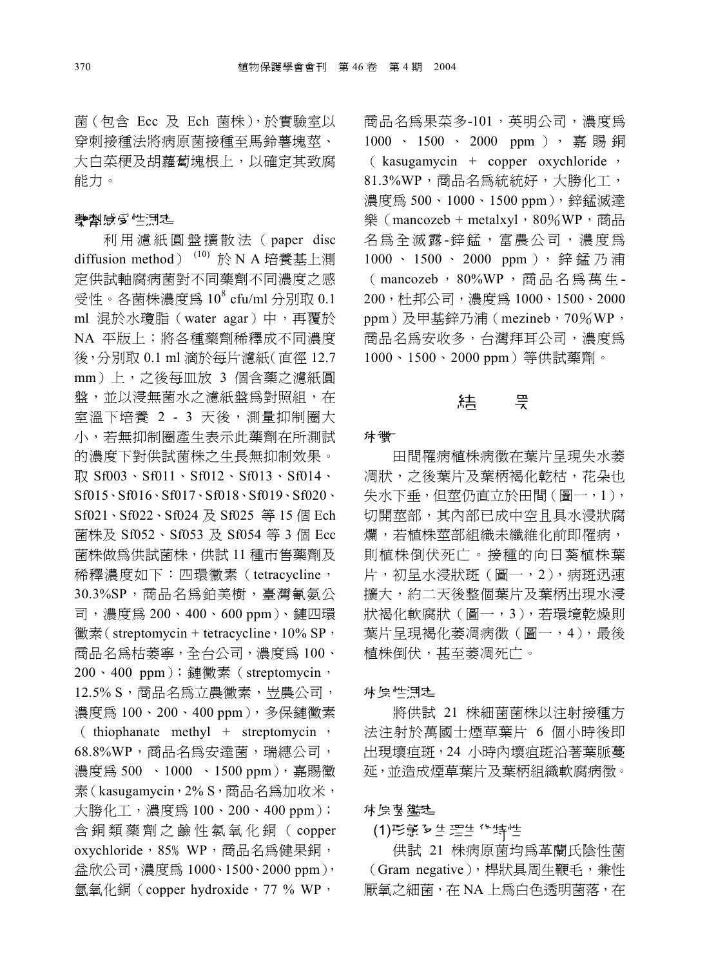菌(包含 Ecc 及 Ech 菌株),於實驗室以 穿刺接種法將病原菌接種至馬鈴薯塊莖、 大白菜梗及胡蘿蔔塊根上,以確定其致腐 能力。

#### 空倒感受性混乱

利 用 濾 紙 圓 盤 擴 散 法 ( paper disc diffusion method)<sup>(10)</sup>於 N A 培養基上測 定供試軸腐病菌對不同藥劑不同濃度之感 受性。各菌株濃度爲 10<sup>8</sup> cfu/ml 分別取 0.1 ml 混於水瓊脂(water agar)中,再覆於 NA 平版㆖;將各種藥劑稀釋成不同濃度 後,分別取 0.1 ml 滴於每片濾紙(直徑 12.7 mm)㆖,之後每皿放 3 個含藥之濾紙圓 盤,並以浸無菌水之濾紙盤為對照組,在 室溫下培養 2 - 3 天後,測量抑制圈大 小,若無抑制圈產生表示此藥劑在所測試 的濃度㆘對供試菌株之生長無抑制效果。 取 Sf003、Sf011、Sf012、Sf013、Sf014、 Sf015、Sf016、Sf017、Sf018、Sf019、Sf020、 Sf021、Sf022、Sf024 及 Sf025 等 15 個 Ech 菌株及 Sf052、Sf053 及 Sf054 等 3 個 Ecc 菌株做為供試菌株,供試 11 種市售藥劑及 稀釋濃度如下:四環黴素(tetracycline, 30.3%SP, 商品名為鉑美樹, 臺灣氰氨公 司,濃度為 200、400、600 ppm)、鏈㆕環 黴素(streptomycin + tetracycline,  $10\%$  SP, 商品名為枯萎寧,全台公司,濃度為 100、 200、400 ppm);鏈黴素(streptomycin, 12.5% S, 商品名為立農黴素, 岦農公司, 濃度為 100、200、400 ppm), 多保鏈黴素 ( thiophanate methyl + streptomycin , 68.8%WP,商品名為安達菌,瑞繐公司, 濃度為 500 、1000 、1500 ppm), 嘉賜黴 素(kasugamycin, 2% S, 商品名為加收米, 大勝化工,濃度為 100、200、400 ppm); 含 銅 類 藥 劑 之 鹼 性 氯 氧 化 銅 ( copper oxychloride, 85% WP, 商品名為健果銅, 益欣公司,濃度為 1000、1500、2000 ppm), 氫氧化銅(copper hydroxide,77 % WP,

商品名為果菜多-101,英明公司,濃度為 1000 、 1500 、 2000 ppm ), 嘉 賜 銅 ( kasugamycin + copper oxychloride , 81.3%WP,商品名為統統好,大勝化工, 濃度為 500、1000、1500 ppm), 鋅錳滅達 樂 (mancozeb + metalxyl, 80%WP, 商品 名為全滅露-鋅錳,富農公司,濃度為 1000、 1500、 2000 ppm), 鋅錳乃浦 ( mancozeb, 80%WP , 商 品 名 為 萬 生 - 200,杜邦公司,濃度為 1000、1500、2000 ppm)及甲基鋅乃浦(mezineb, 70%WP, 商品名為安收多,台灣拜耳公司,濃度為 1000、1500、2000 ppm)等供試藥劑。

## 狦

#### 痜紉

田間罹病植株病徵在葉片呈現失水萎 凋狀,之後葉片及葉柄褐化乾枯,花朵也 失水下垂,但莖仍直立於田間(圖一,1), 切開莖部,其內部已成中空且具水浸狀腐 爛,若植株莖部組織未纖維化前即罹病, 則植株倒伏死亡。接種的向日葵植株葉 片,初呈水浸狀斑(圖㆒,2),病斑迅速 擴大,約二天後整個葉片及葉柄出現水浸 狀褐化軟腐狀(圖㆒,3),若環境乾燥則 葉片呈現褐化萎凋病徵(圖一,4),最後 植株倒伏,甚至萎凋死亡。

#### **旅** 原性測定

將供試 21 株細菌菌株以注射接種方 法注射於萬國士煙草葉片 6 個小時後即 出現壞疽斑,24 小時內壞疽斑沿著葉脈蔓 延,並造成煙草葉片及葉柄組織軟腐病徵。

#### **旅原 菌 鑑定**

#### (1)形態 及生理生化特性

供試 21 株病原菌均為革蘭氏陰性菌 (Gram negative), 桿狀具周生鞭毛, 兼性 厭氧之細菌, 在 NA 上為白色透明菌落, 在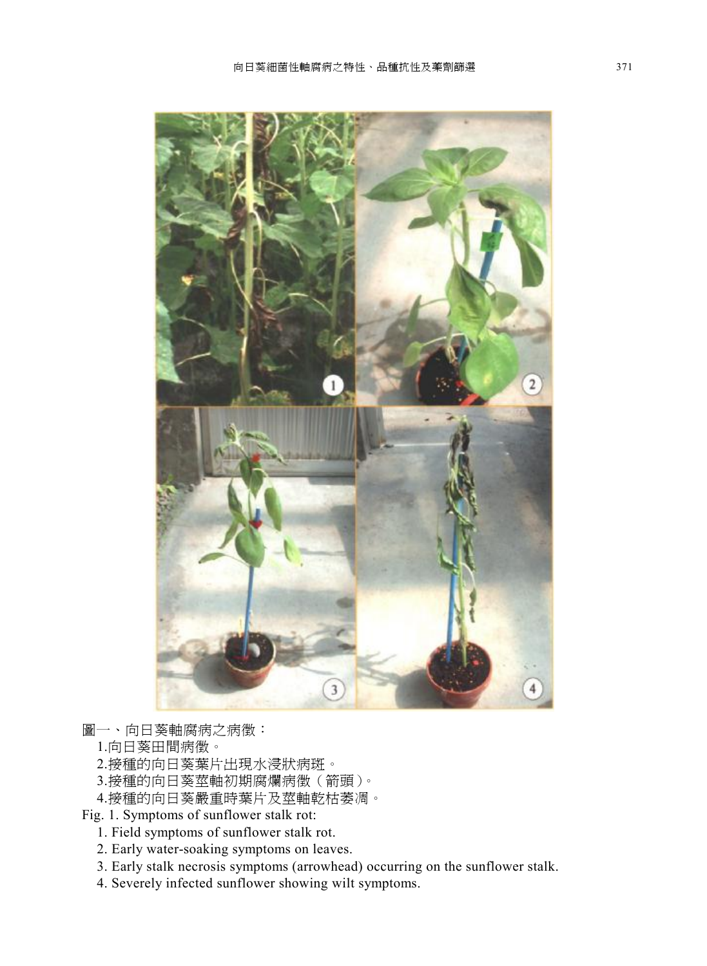

- 圖㆒、向日葵軸腐病之病徵:
	- 1.向日葵田間病徵。
	- 2.接種的向日葵葉片出現水浸狀病斑。
	- 3.接種的向日葵莖軸初期腐爛病徵(箭頭)。
	- 4.接種的向日葵嚴重時葉片及莖軸乾枯萎凋。
- Fig. 1. Symptoms of sunflower stalk rot:
	- 1. Field symptoms of sunflower stalk rot.
	- 2. Early water-soaking symptoms on leaves.
	- 3. Early stalk necrosis symptoms (arrowhead) occurring on the sunflower stalk.
	- 4. Severely infected sunflower showing wilt symptoms.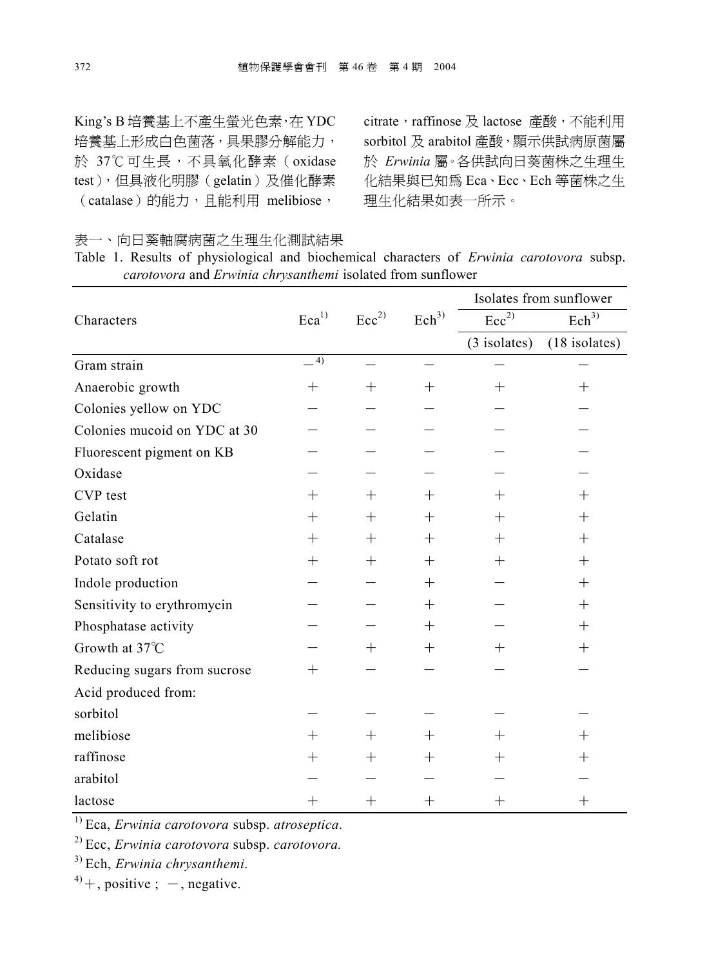King's B 培養基㆖不產生螢光色素,在 YDC 培養基上形成白色菌落,具果膠分解能力, 於 37℃可生長,不具氧化酵素(oxidase test),但具液化明膠(gelatin)及催化酵素 (catalase)的能力,且能利用 melibiose,

citrate, raffinose 及 lactose 產酸,不能利用 sorbitol 及 arabitol 產酸,顯示供試病原菌屬 於 *Erwinia* 屬。各供試向日葵菌株之生理生 化結果與已知為 Eca、Ecc、Ech 等菌株之生 理生化結果如表一所示。

表㆒、向日葵軸腐病菌之生理生化測試結果

Table 1. Results of physiological and biochemical characters of *Erwinia carotovora* subsp. *carotovora* and *Erwinia chrysanthemi* isolated from sunflower

|                               |                     |                  |                  | Isolates from sunflower     |                  |  |
|-------------------------------|---------------------|------------------|------------------|-----------------------------|------------------|--|
| Characters                    | $\mathrm{Eca}^{1)}$ | Ecc <sup>2</sup> | Ech <sup>3</sup> | $\text{Ecc}^{\overline{2}}$ | Ech <sup>3</sup> |  |
|                               |                     |                  |                  | $(3$ isolates)              | $(18$ isolates)  |  |
| Gram strain                   | 4)                  |                  |                  |                             |                  |  |
| Anaerobic growth              | $\hspace{0.1mm} +$  | $^{+}$           | $^{+}$           | $+$                         | $+$              |  |
| Colonies yellow on YDC        |                     |                  |                  |                             |                  |  |
| Colonies mucoid on YDC at 30• |                     |                  |                  |                             |                  |  |
| Fluorescent pigment on KB     |                     |                  |                  |                             |                  |  |
| Oxidase                       |                     |                  |                  |                             |                  |  |
| CVP test                      | $+$                 | $+$              | $+$              | $+$                         | $+$              |  |
| Gelatin                       | $^{+}$              | $^{+}$           | $^{+}$           | $+$                         | $^{+}$           |  |
| Catalase                      | $^{+}$              | $+$              | $^{+}$           | $+$                         | $+$              |  |
| Potato soft rot               | $^{+}$              | $^{+}$           | $^{+}$           | $+$                         | $^{+}$           |  |
| Indole production             |                     |                  | $^{+}$           |                             | $^{+}$           |  |
| Sensitivity to erythromycin   |                     |                  | $^{+}$           |                             | $^{+}$           |  |
| Phosphatase activity          |                     |                  | $+$              |                             | $+$              |  |
| Growth at 37°C                |                     | $^{+}$           | $^{+}$           | $+$                         | $^{+}$           |  |
| Reducing sugars from sucrose  | $^{+}$              |                  |                  |                             |                  |  |
| Acid produced from:           |                     |                  |                  |                             |                  |  |
| sorbitol                      |                     |                  |                  |                             |                  |  |
| melibiose                     | $^{+}$              | $^{+}$           | $^{+}$           | $+$                         | $^{+}$           |  |
| raffinose                     | $^{+}$              | $^{+}$           | $^{+}$           | $+$                         | $^{+}$           |  |
| arabitol                      |                     |                  |                  |                             |                  |  |
| lactose                       | $^{+}$              | $^{+}$           | $^{+}$           | $^{+}$                      | $^{+}$           |  |

1) Eca, *Erwinia carotovora* subsp. *atroseptica*.

2) Ecc, *Erwinia carotovora* subsp. *carotovora.*

3) Ech, *Erwinia chrysanthemi*.

 $^{4)}$  +, positive ; -, negative.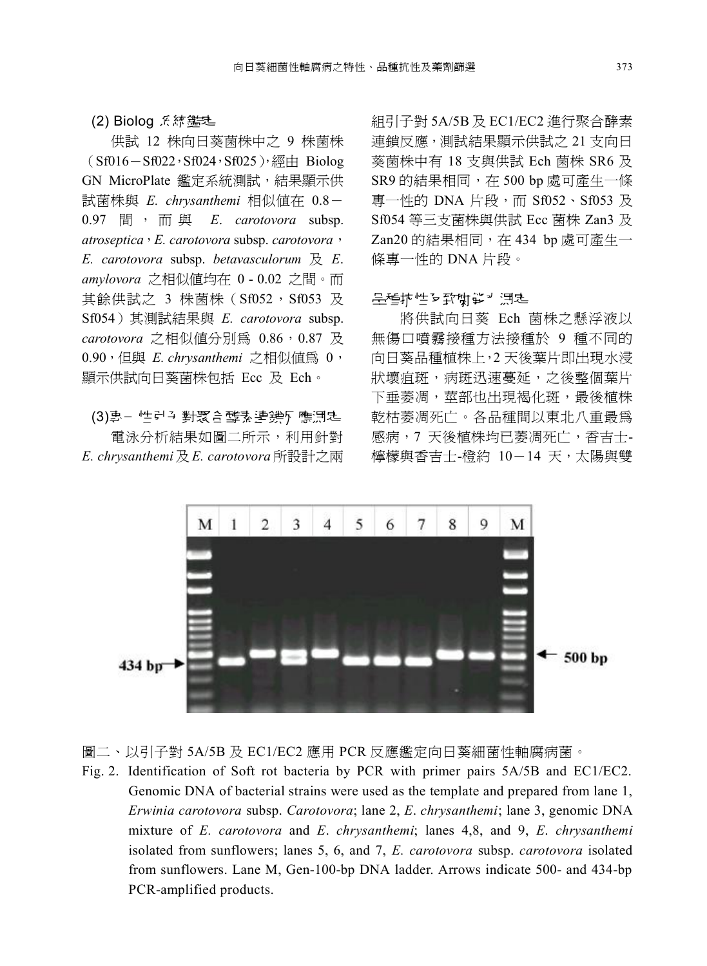#### $(2)$  Biolog 系統鑑定

供試 12 株向日葵菌株中之 9 株菌株  $(Sf016-Sf022,ST024,ST025)$ , 經由 Biolog GN MicroPlate 鑑定系統測試,結果顯示供 試菌株與 *E. chrysanthemi* 相似值在 0.8- 0.97 間 , 而 與 *E*. *carotovora* subsp. *atroseptica*,*E. carotovora* subsp. *carotovora*, *E. carotovora* subsp. *betavasculorum* 及 *E*. *amylovora* 之相似值均在 0 - 0.02 之間。而 其餘供試之 3 株菌株 (Sf052, Sf053 及 Sf054)其測試結果與 *E. carotovora* subsp. carotovora 之相似值分別為 0.86,0.87 及 0.90,但與 *E. chrysanthemi* 之相似值為 0, 顯示供試向日葵菌株包括 Ecc 及 Ech。

(3)專- 性引う對聚合酵素連鎖仄 應測定 電泳分析結果如圖㆓所示,利用針對 *E. chrysanthemi*及 *E. carotovora* 所設計之兩 組引子對 5A/5B 及 EC1/EC2 進行聚合酵素 連鎖反應,測試結果顯示供試之 21 支向日 葵菌株中有 18 支與供試 Ech 菌株 SR6 及 SR9 的結果相同,在 500 bp 處可產生一條 專一性的 DNA 片段,而 Sf052、Sf053 及 Sf054 等三支菌株與供試 Ecc 菌株 Zan3 及 Zan20 的結果相同,在 434 bp 處可產生一 條專㆒性的 DNA 片段。

#### 品種抗性及致腐能扩通症

將供試向日葵 Ech 菌株之懸浮液以 無傷口噴霧接種方法接種於 9 種不同的 向日葵品種植株上,2 天後葉片即出現水浸 狀壞疽斑,病斑迅速蔓延,之後整個葉片 下垂萎凋,莖部也出現褐化斑,最後植株 乾枯萎凋死亡。各品種間以東北八重最為 感病,7天後植株均已萎凋死亡,香吉士-檸檬與香吉士-橙約 10-14 ㆝,太陽與雙



- 圖㆓、以引子對 5A/5B 及 EC1/EC2 應用 PCR 反應鑑定向日葵細菌性軸腐病菌。
- Fig. 2. Identification of Soft rot bacteria by PCR with primer pairs 5A/5B and EC1/EC2. Genomic DNA of bacterial strains were used as the template and prepared from lane 1, *Erwinia carotovora* subsp. *Carotovora*; lane 2, *E*. *chrysanthemi*; lane 3, genomic DNA mixture of *E. carotovora* and *E*. *chrysanthemi*; lanes 4,8, and 9, *E*. *chrysanthemi*  isolated from sunflowers; lanes 5, 6, and 7, *E. carotovora* subsp. *carotovora* isolated from sunflowers. Lane M, Gen-100-bp DNA ladder. Arrows indicate 500- and 434-bp PCR-amplified products.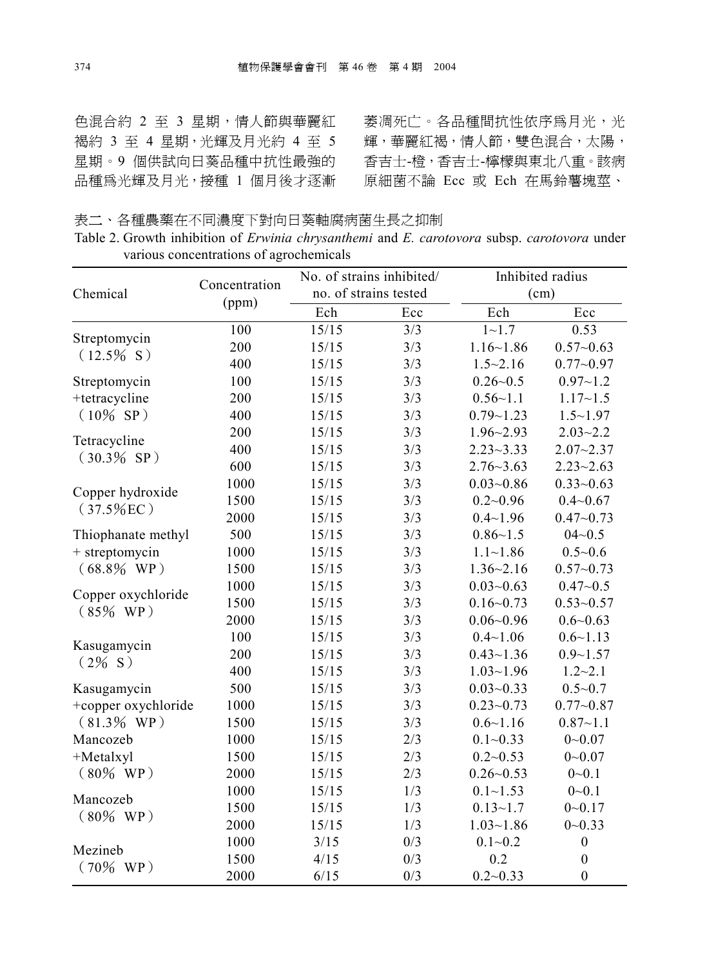色混合約 2 至 3 星期,情人節與華麗紅 褐約 3 至 4 星期,光輝及月光約 4 至 5 星期。9 個供試向日葵品種中抗性最強的 香吉士-橙,香吉士-檸檬與東北八重。該病 品種為光輝及月光,接種 1 個月後才逐漸

萎凋死亡。各品種間抗性依序為月光,光 輝,華麗紅褐,情㆟節,雙色混合,太陽, 原細菌不論 Ecc 或 Ech 在馬鈴薯塊莖、

表二、各種農藥在不同濃度下對向日葵軸腐病菌生長之抑制

|                                         | Table 2. Growth inhibition of <i>Erwinia chrysanthemi</i> and <i>E. carotovora</i> subsp. <i>carotovora</i> under |  |  |  |
|-----------------------------------------|-------------------------------------------------------------------------------------------------------------------|--|--|--|
| various concentrations of agrochemicals |                                                                                                                   |  |  |  |

|                                   | Concentration | No. of strains inhibited/ |     | Inhibited radius |                  |  |
|-----------------------------------|---------------|---------------------------|-----|------------------|------------------|--|
| Chemical                          |               | no. of strains tested     |     | (cm)             |                  |  |
|                                   | (ppm)         | Ech                       | Ecc | Ech              | Ecc              |  |
| Streptomycin                      | 100           | 15/15                     | 3/3 | $1 - 1.7$        | 0.53             |  |
| $(12.5\% S)$                      | 200           | 15/15                     | 3/3 | $1.16 - 1.86$    | $0.57 - 0.63$    |  |
|                                   | 400           | 15/15                     | 3/3 | $1.5 - 2.16$     | $0.77 - 0.97$    |  |
| Streptomycin                      | 100           | 15/15                     | 3/3 | $0.26 - 0.5$     | $0.97 - 1.2$     |  |
| +tetracycline                     | 200           | 15/15                     | 3/3 | $0.56 - 1.1$     | $1.17 - 1.5$     |  |
| $(10\% SP)$                       | 400           | 15/15                     | 3/3 | $0.79 - 1.23$    | $1.5 - 1.97$     |  |
|                                   | 200           | 15/15                     | 3/3 | $1.96 - 2.93$    | $2.03 - 2.2$     |  |
| Tetracycline                      | 400           | 15/15                     | 3/3 | $2.23 - 3.33$    | $2.07 - 2.37$    |  |
| $(30.3\% SP)$                     | 600           | 15/15                     | 3/3 | $2.76 - 3.63$    | $2.23 - 2.63$    |  |
|                                   | 1000          | 15/15                     | 3/3 | $0.03 - 0.86$    | $0.33 - 0.63$    |  |
| Copper hydroxide<br>$(37.5\%$ EC) | 1500          | 15/15                     | 3/3 | $0.2 - 0.96$     | $0.4 - 0.67$     |  |
|                                   | 2000          | 15/15                     | 3/3 | $0.4 - 1.96$     | $0.47 - 0.73$    |  |
| Thiophanate methyl                | 500           | 15/15                     | 3/3 | $0.86 - 1.5$     | $04 - 0.5$       |  |
| + streptomycin                    | 1000          | 15/15                     | 3/3 | $1.1 - 1.86$     | $0.5 - 0.6$      |  |
| $(68.8\%$ WP)                     | 1500          | 15/15                     | 3/3 | $1.36 - 2.16$    | $0.57 - 0.73$    |  |
| Copper oxychloride<br>$(85\%$ WP) | 1000          | 15/15                     | 3/3 | $0.03 - 0.63$    | $0.47 - 0.5$     |  |
|                                   | 1500          | 15/15                     | 3/3 | $0.16 - 0.73$    | $0.53 - 0.57$    |  |
|                                   | 2000          | 15/15                     | 3/3 | $0.06 - 0.96$    | $0.6 - 0.63$     |  |
| Kasugamycin<br>$(2\% S)$          | 100           | 15/15                     | 3/3 | $0.4 - 1.06$     | $0.6 - 1.13$     |  |
|                                   | 200           | 15/15                     | 3/3 | $0.43 - 1.36$    | $0.9 - 1.57$     |  |
|                                   | 400           | 15/15                     | 3/3 | $1.03 - 1.96$    | $1.2 - 2.1$      |  |
| Kasugamycin                       | 500           | 15/15                     | 3/3 | $0.03 - 0.33$    | $0.5 - 0.7$      |  |
| +copper oxychloride               | 1000          | 15/15                     | 3/3 | $0.23 - 0.73$    | $0.77 - 0.87$    |  |
| $(81.3\%$ WP)                     | 1500          | 15/15                     | 3/3 | $0.6 - 1.16$     | $0.87 - 1.1$     |  |
| Mancozeb                          | 1000          | 15/15                     | 2/3 | $0.1 - 0.33$     | $0 - 0.07$       |  |
| $+Metalxyl$                       | 1500          | 15/15                     | 2/3 | $0.2 - 0.53$     | $0 - 0.07$       |  |
| $(80\%$ WP)                       | 2000          | 15/15                     | 2/3 | $0.26 - 0.53$    | $0 - 0.1$        |  |
| Mancozeb<br>$(80\%$ WP)           | 1000          | 15/15                     | 1/3 | $0.1 - 1.53$     | $0 - 0.1$        |  |
|                                   | 1500          | 15/15                     | 1/3 | $0.13 - 1.7$     | $0 - 0.17$       |  |
|                                   | 2000          | 15/15                     | 1/3 | $1.03 - 1.86$    | $0 - 0.33$       |  |
|                                   | 1000          | 3/15                      | 0/3 | $0.1 - 0.2$      | $\boldsymbol{0}$ |  |
| Mezineb                           | 1500          | 4/15                      | 0/3 | 0.2              | $\boldsymbol{0}$ |  |
| $(70\%$ WP)                       | 2000          | 6/15                      | 0/3 | $0.2 - 0.33$     | $\boldsymbol{0}$ |  |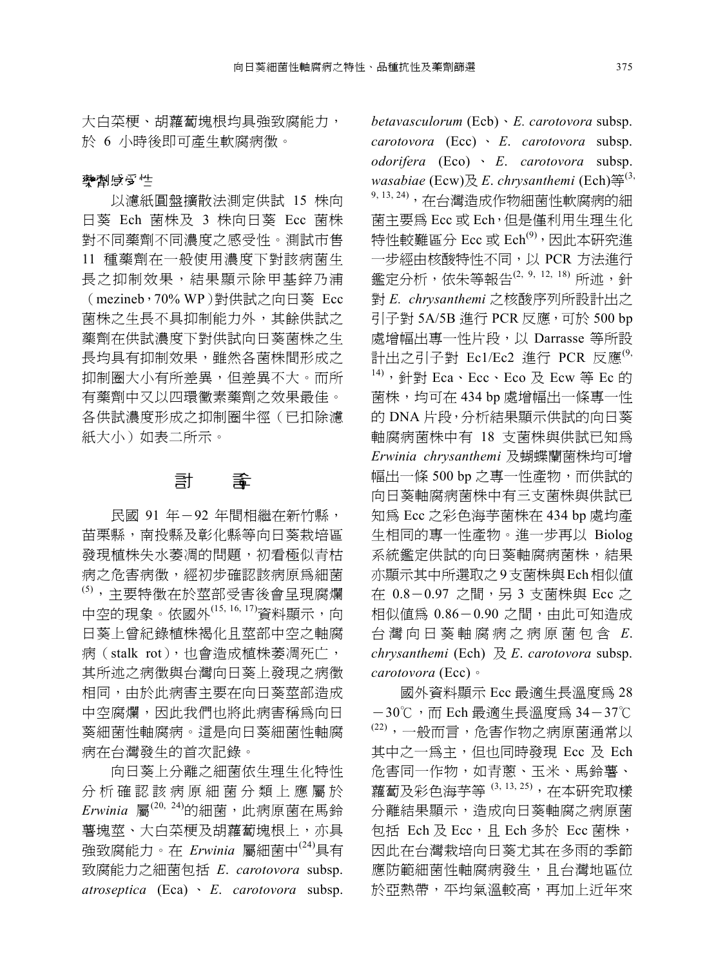大白菜梗、胡蘿蔔塊根均具強致腐能力, 於 6 小時後即可產生軟腐病徵。

#### 空倒感の性

以濾紙圓盤擴散法測定供試 15 株向 日葵 Ech 菌株及 3 株向日葵 Ecc 菌株 對不同藥劑不同濃度之感受性。測試市售 11 種藥劑在一般使用濃度下對該病菌生 長之抑制效果,結果顯示除㆙基鋅乃浦 (mezineb,70% WP)對供試之向日葵 Ecc 菌株之生長不具抑制能力外,其餘供試之 藥劑在供試濃度下對供試向日葵菌株之生 長均具有抑制效果,雖然各菌株間形成之 抑制圈大小有所差異,但差異不大。而所 有藥劑㆗又以㆕環黴素藥劑之效果最佳。 各供試濃度形成之抑制圈半徑(已扣除濾 紙大小)如表二所示。

## 癚 阶

民國 91 年-92 年間相繼在新竹縣, 苗栗縣,南投縣及彰化縣等向日葵栽培區 發現植株失水萎凋的問題,初看極似青枯 病之危害病徵,經初步確認該病原為細菌 (5),主要特徵在於莖部受害後會呈現腐爛 中空的現象。依國外(15, 16, 17)資料顯示,向 日葵上曾紀錄植株褐化且莖部中空之軸腐 病(stalk rot),也會造成植株萎凋死亡, 其所述之病徵與台灣向日葵上發現之病徵 相同,由於此病害主要在向日葵莖部造成 ㆗空腐爛,因此我們也將此病害稱為向日 葵細菌性軸腐病。這是向日葵細菌性軸腐 病在台灣發生的首次記錄。

向日葵㆖分離之細菌依生理生化特性 分析確認該病原細菌分類上應屬於 *Erwinia* 屬(20, 24)的細菌,此病原菌在馬鈴 薯塊莖、大白菜梗及胡蘿蔔塊根上,亦具 強致腐能力。在 *Erwinia* 屬細菌中<sup>(24)</sup>具有 致腐能力之細菌包括 *E*. *carotovora* subsp. *atroseptica* (Eca) 、 *E*. *carotovora* subsp. *betavasculorum* (Ecb)、*E. carotovora* subsp. *carotovora* (Ecc) 、 *E*. *carotovora* subsp. *odorifera* (Eco) 、 *E*. *carotovora* subsp. *wasabiae* (Ecw)及 *E*. *chrysanthemi* (Ech)等(3, 9, 13, 24), 在台灣浩成作物細菌性軟腐病的細 菌主要為 Ecc 或 Ech,但是僅利用生理生化 特性較難區分 Ecc 或  $\mathrm{Ech}^{(9)}$ , 因此本研究進 ㆒步經由核酸特性不同,以 PCR 方法進行 鑑定分析,依朱等報告<sup>(2, 9, 12, 18</sup>) 所述,針 對 *E. chrysanthemi* 之核酸序列所設計出之 引子對 5A/5B 進行 PCR 反應,可於 500 bp 處增幅出專㆒性片段,以 Darrasse 等所設 計出之引子對 Ec1/Ec2 淮行 PCR 反應 $^{(9)}$  $14)$ , 針對 Eca、Ecc、Eco 及 Ecw 等 Ec 的 菌株,均可在 434 bp 處增幅出一條專一性 的 DNA 片段,分析結果顯示供試的向日葵 軸腐病菌株㆗有 18 支菌株與供試已知為 *Erwinia chrysanthemi* 及蝴蝶蘭菌株均可增 幅出㆒條 500 bp 之專㆒性產物,而供試的 向日葵軸腐病菌株中有三支菌株與供試已 知為 Ecc 之彩色海芋菌株在 434 bp 處均產 生相同的專㆒性產物。進㆒步再以 Biolog 系統鑑定供試的向日葵軸腐病菌株,結果 亦顯示其㆗所選取之9支菌株與Ech相似值 在 0.8-0.97 之間,另 3 支菌株與 Ecc 之 相似値為  $0.86-0.90$  之間,由此可知造成 台 灣 向 日 葵 軸 腐 病 之 病 原 菌 包 含 *E*. *chrysanthemi* (Ech) 及 *E*. *carotovora* subsp. *carotovora* (Ecc)。

國外資料顯示 Ecc 最適生長溫度為 28 -30℃,而 Ech 最適生長溫度為 34-37℃  $\left(22\right)$ ,一般而言,危害作物之病原菌通常以 其中之一爲主,但也同時發現 Ecc 及 Ech 危害同㆒作物,如青蔥、玉米、馬鈴薯、 蘿蔔及彩色海芋等 (3, 13, 25),在本研究取樣 分離結果顯示,造成向日葵軸腐之病原菌 包括 Ech 及 Ecc, 且 Ech 多於 Ecc 菌株, 因此在台灣栽培向日葵尤其在多雨的季節 應防範細菌性軸腐病發生,且台灣地區位 於亞熱帶,平均氣溫較高,再加上近年來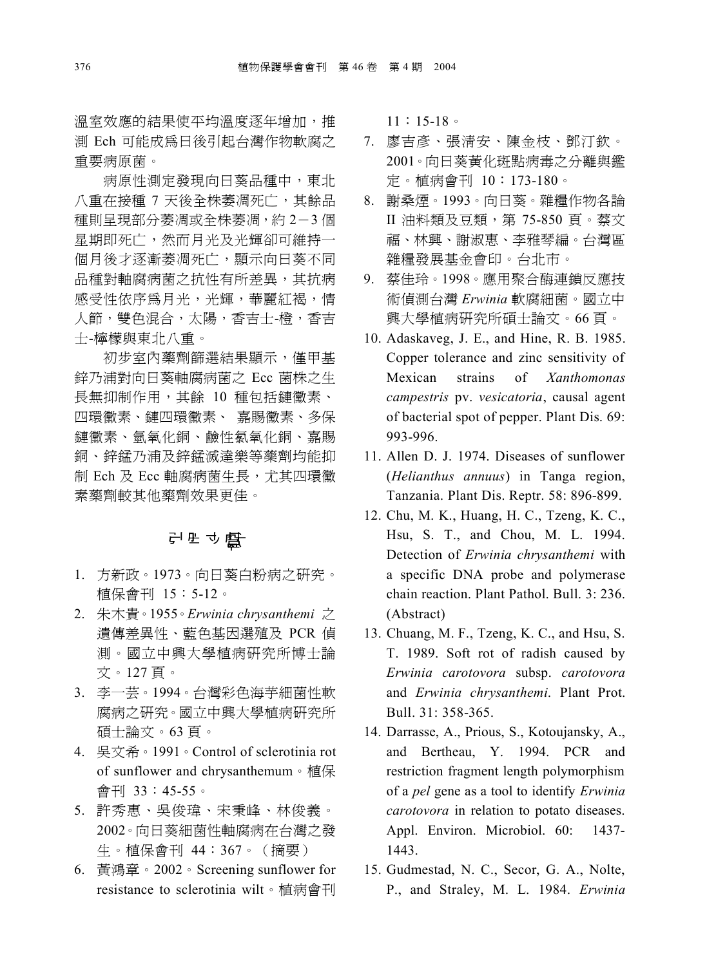溫室效應的結果使平均溫度逐年增加,推 測 Ech 可能成為日後引起台灣作物軟腐之 重要病原菌。

病原性測定發現向日葵品種中,東北 八重在接種 7 天後全株萎凋死亡,其餘品 種則呈現部分萎凋或全株萎凋,約 2-3 個 星期即死亡,然而月光及光輝卻可維持一 個月後才逐漸萎凋死亡,顯示向日葵不同 品種對軸腐病菌之抗性有所差異,其抗病 感受性依序為月光,光輝,華麗紅褐,情 人節, 雙色混合, 太陽, 香吉十-橙, 香吉 士-檸檬與東北八重。

初步室內藥劑篩選結果顯示,僅甲基 鋅乃浦對向日葵軸腐病菌之 Ecc 菌株之生 長無抑制作用,其餘 10 種包括鏈黴素、 四環黴素、鏈四環黴素、 嘉賜黴素、多保 鏈黴素、氫氧化銅、鹼性氯氧化銅、嘉賜 銅、鋅錳乃浦及鋅錳滅達樂等藥劑均能抑 制 Ech 及 Ecc 軸腐病菌生長,尤其四環黴 素藥劑較其他藥劑效果更佳。

## 引用立獻

- 1. 方新政。1973。向日葵白粉病之研究。 植保會刊 15:5-12。
- 2. 朱木貴。1955。*Erwinia chrysanthemi* 之 遺傳差異性、藍色基因選殖及 PCR 偵 測。國立㆗興大學植病研究所博士論 文。127 頁。
- 3. 李㆒芸。1994。台灣彩色海芋細菌性軟 腐病之研究。國立中興大學植病研究所 碩士論文。63 頁。
- 4. 吳文希。1991。Control of sclerotinia rot of sunflower and chrysanthemum。植保 會刊 33:45-55。
- 5. 許秀惠、吳俊瑋、宋秉峰、林俊義。 2002。向日葵細菌性軸腐病在台灣之發 生。植保會刊 44:367。(摘要)
- 6. 黃鴻章。2002。Screening sunflower for resistance to sclerotinia wilt。植病會刊

11:15-18。

- 7. 廖吉彥、張清安、陳金枝、鄧汀欽。 2001。向日葵黃化斑點病毒之分離與鑑 定。植病會刊 10:173-180。
- 8. 謝桑煙。1993。向日葵。雜糧作物各論 II 油料類及豆類,第 75-850 頁。蔡文 福、林興、謝淑惠、李雅琴編。台灣區 雜糧發展基金會印。台北市。
- 9. 蔡佳玲。1998。應用聚合酶連鎖反應技 術偵測台灣 *Erwinia* 軟腐細菌。國立中 興大學植病研究所碩士論文。66 頁。
- 10. Adaskaveg, J. E., and Hine, R. B. 1985. Copper tolerance and zinc sensitivity of Mexican strains of *Xanthomonas campestris* pv. *vesicatoria*, causal agent of bacterial spot of pepper. Plant Dis. 69: 993-996.
- 11. Allen D. J. 1974. Diseases of sunflower (*Helianthus annuus*) in Tanga region, Tanzania. Plant Dis. Reptr. 58: 896-899.
- 12. Chu, M. K., Huang, H. C., Tzeng, K. C., Hsu, S. T., and Chou, M. L. 1994. Detection of *Erwinia chrysanthemi* with a specific DNA probe and polymerase chain reaction. Plant Pathol. Bull. 3: 236. (Abstract)
- 13. Chuang, M. F., Tzeng, K. C., and Hsu, S. T. 1989. Soft rot of radish caused by *Erwinia carotovora* subsp. *carotovora* and *Erwinia chrysanthemi*. Plant Prot. Bull. 31: 358-365.
- 14. Darrasse, A., Prious, S., Kotoujansky, A., and Bertheau, Y. 1994. PCR and restriction fragment length polymorphism of a *pel* gene as a tool to identify *Erwinia carotovora* in relation to potato diseases. Appl. Environ. Microbiol. 60: 1437- 1443.
- 15. Gudmestad, N. C., Secor, G. A., Nolte, P., and Straley, M. L. 1984. *Erwinia*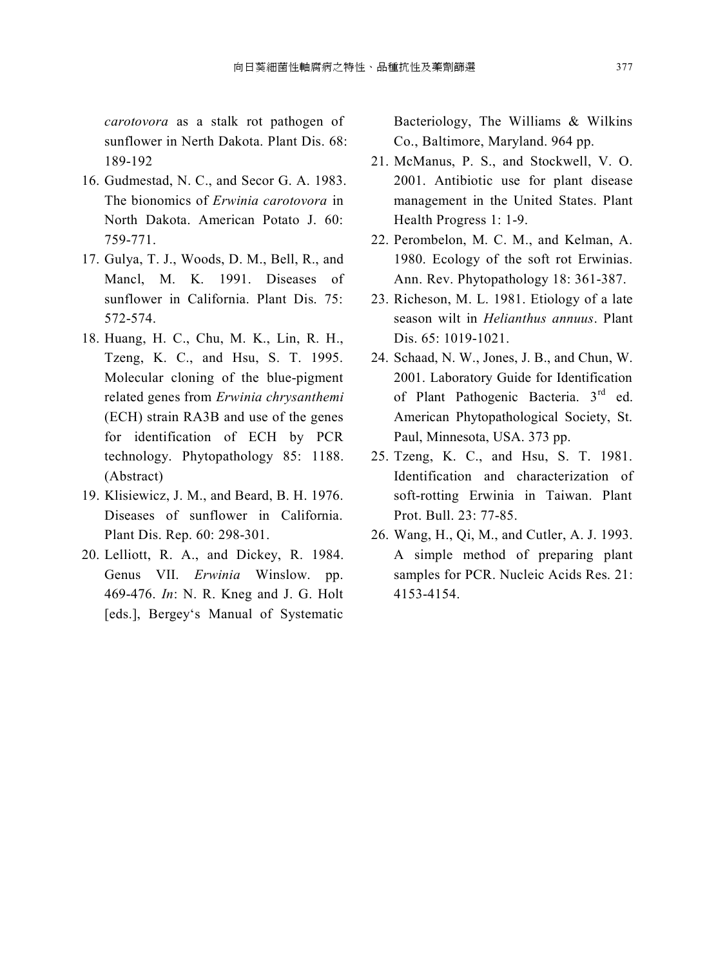*carotovora* as a stalk rot pathogen of sunflower in Nerth Dakota. Plant Dis. 68: 189-192

- 16. Gudmestad, N. C., and Secor G. A. 1983. The bionomics of *Erwinia carotovora* in North Dakota. American Potato J. 60: 759-771.
- 17. Gulya, T. J., Woods, D. M., Bell, R., and Mancl M. K. 1991. Diseases of sunflower in California. Plant Dis. 75: 572-574.
- 18. Huang, H. C., Chu, M. K., Lin, R. H., Tzeng, K. C., and Hsu, S. T. 1995. Molecular cloning of the blue-pigment related genes from *Erwinia chrysanthemi* (ECH) strain RA3B and use of the genes for identification of ECH by PCR technology. Phytopathology 85: 1188. (Abstract)
- 19. Klisiewicz, J. M., and Beard, B. H. 1976. Diseases of sunflower in California. Plant Dis. Rep. 60: 298-301.
- 20. Lelliott, R. A., and Dickey, R. 1984. Genus VII. *Erwinia* Winslow. pp. 469-476. *In*: N. R. Kneg and J. G. Holt [eds.], Bergey's Manual of Systematic

Bacteriology, The Williams & Wilkins Co., Baltimore, Maryland. 964 pp.

- 21. McManus, P. S., and Stockwell, V. O. 2001. Antibiotic use for plant disease management in the United States. Plant Health Progress 1: 1-9.
- 22. Perombelon, M. C. M., and Kelman, A. 1980. Ecology of the soft rot Erwinias. Ann. Rev. Phytopathology 18: 361-387.
- 23. Richeson, M. L. 1981. Etiology of a late season wilt in *Helianthus annuus*. Plant Dis. 65: 1019-1021.
- 24. Schaad, N. W., Jones, J. B., and Chun, W. 2001. Laboratory Guide for Identification of Plant Pathogenic Bacteria. 3<sup>rd</sup> ed. American Phytopathological Society, St. Paul, Minnesota, USA. 373 pp.
- 25. Tzeng, K. C., and Hsu, S. T. 1981. Identification and characterization of soft-rotting Erwinia in Taiwan. Plant Prot. Bull. 23: 77-85.
- 26. Wang, H., Qi, M., and Cutler, A. J. 1993. A simple method of preparing plant samples for PCR. Nucleic Acids Res. 21: 4153-4154.